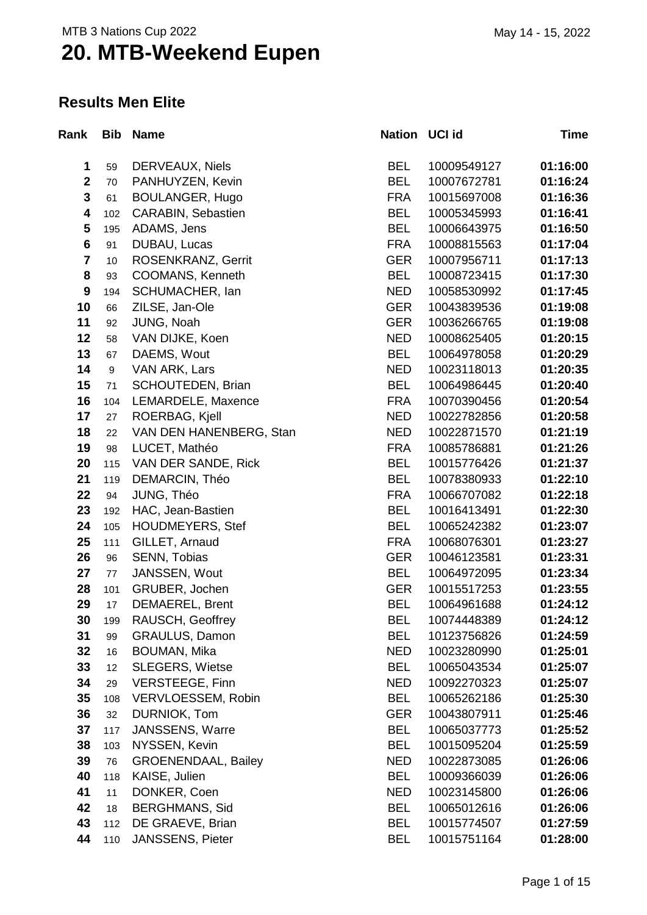### **Results Men Elite**

| Rank                    | <b>Bib</b> | <b>Name</b>                | Nation UCI id |             | Time     |
|-------------------------|------------|----------------------------|---------------|-------------|----------|
| 1                       | 59         | DERVEAUX, Niels            | <b>BEL</b>    | 10009549127 | 01:16:00 |
| $\mathbf{2}$            | 70         | PANHUYZEN, Kevin           | <b>BEL</b>    | 10007672781 | 01:16:24 |
| 3                       | 61         | <b>BOULANGER, Hugo</b>     | <b>FRA</b>    | 10015697008 | 01:16:36 |
| $\overline{\mathbf{4}}$ | 102        | CARABIN, Sebastien         | <b>BEL</b>    | 10005345993 | 01:16:41 |
| 5                       | 195        | ADAMS, Jens                | <b>BEL</b>    | 10006643975 | 01:16:50 |
| $6\phantom{1}$          | 91         | DUBAU, Lucas               | <b>FRA</b>    | 10008815563 | 01:17:04 |
| $\overline{7}$          | 10         | ROSENKRANZ, Gerrit         | <b>GER</b>    | 10007956711 | 01:17:13 |
| 8                       | 93         | COOMANS, Kenneth           | <b>BEL</b>    | 10008723415 | 01:17:30 |
| $\boldsymbol{9}$        | 194        | SCHUMACHER, Ian            | <b>NED</b>    | 10058530992 | 01:17:45 |
| 10                      | 66         | ZILSE, Jan-Ole             | <b>GER</b>    | 10043839536 | 01:19:08 |
| 11                      | 92         | JUNG, Noah                 | <b>GER</b>    | 10036266765 | 01:19:08 |
| 12                      | 58         | VAN DIJKE, Koen            | <b>NED</b>    | 10008625405 | 01:20:15 |
| 13                      | 67         | DAEMS, Wout                | <b>BEL</b>    | 10064978058 | 01:20:29 |
| 14                      | 9          | VAN ARK, Lars              | <b>NED</b>    | 10023118013 | 01:20:35 |
| 15                      | 71         | SCHOUTEDEN, Brian          | <b>BEL</b>    | 10064986445 | 01:20:40 |
| 16                      | 104        | LEMARDELE, Maxence         | <b>FRA</b>    | 10070390456 | 01:20:54 |
| 17                      | 27         | ROERBAG, Kjell             | <b>NED</b>    | 10022782856 | 01:20:58 |
| 18                      | 22         | VAN DEN HANENBERG, Stan    | <b>NED</b>    | 10022871570 | 01:21:19 |
| 19                      | 98         | LUCET, Mathéo              | <b>FRA</b>    | 10085786881 | 01:21:26 |
| 20                      | 115        | VAN DER SANDE, Rick        | <b>BEL</b>    | 10015776426 | 01:21:37 |
| 21                      | 119        | DEMARCIN, Théo             | <b>BEL</b>    | 10078380933 | 01:22:10 |
| 22                      | 94         | JUNG, Théo                 | <b>FRA</b>    | 10066707082 | 01:22:18 |
| 23                      | 192        | HAC, Jean-Bastien          | <b>BEL</b>    | 10016413491 | 01:22:30 |
| 24                      | 105        | <b>HOUDMEYERS, Stef</b>    | <b>BEL</b>    | 10065242382 | 01:23:07 |
| 25                      | 111        | GILLET, Arnaud             | <b>FRA</b>    | 10068076301 | 01:23:27 |
| 26                      | 96         | SENN, Tobias               | <b>GER</b>    | 10046123581 | 01:23:31 |
| 27                      | 77         | JANSSEN, Wout              | <b>BEL</b>    | 10064972095 | 01:23:34 |
| 28                      | 101        | GRUBER, Jochen             | <b>GER</b>    | 10015517253 | 01:23:55 |
| 29                      | 17         | <b>DEMAEREL, Brent</b>     | <b>BEL</b>    | 10064961688 | 01:24:12 |
| 30                      | 199        | RAUSCH, Geoffrey           | <b>BEL</b>    | 10074448389 | 01:24:12 |
| 31                      | 99         | <b>GRAULUS, Damon</b>      | <b>BEL</b>    | 10123756826 | 01:24:59 |
| 32                      | 16         | <b>BOUMAN, Mika</b>        | <b>NED</b>    | 10023280990 | 01:25:01 |
| 33                      | 12         | <b>SLEGERS, Wietse</b>     | <b>BEL</b>    | 10065043534 | 01:25:07 |
| 34                      | 29         | <b>VERSTEEGE, Finn</b>     | <b>NED</b>    | 10092270323 | 01:25:07 |
| 35                      | 108        | VERVLOESSEM, Robin         | <b>BEL</b>    | 10065262186 | 01:25:30 |
| 36                      | 32         | DURNIOK, Tom               | <b>GER</b>    | 10043807911 | 01:25:46 |
| 37                      | 117        | <b>JANSSENS, Warre</b>     | <b>BEL</b>    | 10065037773 | 01:25:52 |
| 38                      | 103        | NYSSEN, Kevin              | <b>BEL</b>    | 10015095204 | 01:25:59 |
| 39                      | 76         | <b>GROENENDAAL, Bailey</b> | <b>NED</b>    | 10022873085 | 01:26:06 |
| 40                      | 118        | KAISE, Julien              | <b>BEL</b>    | 10009366039 | 01:26:06 |
| 41                      | 11         | DONKER, Coen               | <b>NED</b>    | 10023145800 | 01:26:06 |
| 42                      | 18         | <b>BERGHMANS, Sid</b>      | <b>BEL</b>    | 10065012616 | 01:26:06 |
| 43                      | 112        | DE GRAEVE, Brian           | <b>BEL</b>    | 10015774507 | 01:27:59 |
| 44                      | 110        | <b>JANSSENS, Pieter</b>    | <b>BEL</b>    | 10015751164 | 01:28:00 |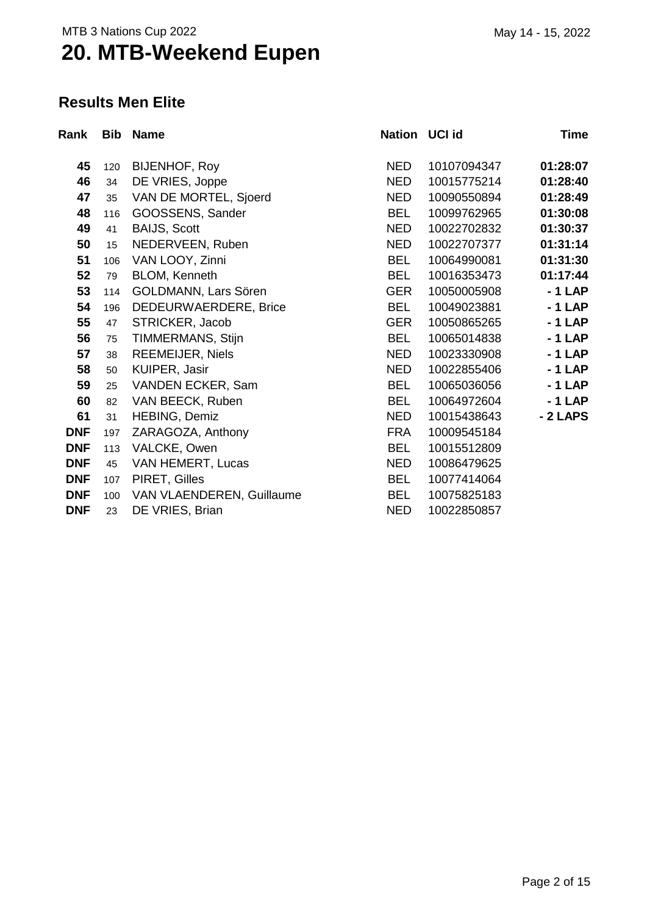### **Results Men Elite**

| Rank       | <b>Bib</b> | <b>Name</b>               | Nation     | UCI id      | Time     |
|------------|------------|---------------------------|------------|-------------|----------|
| 45         | 120        | <b>BIJENHOF, Roy</b>      | NED.       | 10107094347 | 01:28:07 |
| 46         | 34         | DE VRIES, Joppe           | <b>NED</b> | 10015775214 | 01:28:40 |
| 47         | 35         | VAN DE MORTEL, Sjoerd     | <b>NED</b> | 10090550894 | 01:28:49 |
| 48         | 116        | GOOSSENS, Sander          | <b>BEL</b> | 10099762965 | 01:30:08 |
| 49         | 41         | <b>BAIJS, Scott</b>       | <b>NED</b> | 10022702832 | 01:30:37 |
| 50         | 15         | NEDERVEEN, Ruben          | <b>NED</b> | 10022707377 | 01:31:14 |
| 51         | 106        | VAN LOOY, Zinni           | <b>BEL</b> | 10064990081 | 01:31:30 |
| 52         | 79         | BLOM, Kenneth             | <b>BEL</b> | 10016353473 | 01:17:44 |
| 53         | 114        | GOLDMANN, Lars Sören      | <b>GER</b> | 10050005908 | $-1$ LAP |
| 54         | 196        | DEDEURWAERDERE, Brice     | <b>BEL</b> | 10049023881 | $-1$ LAP |
| 55         | 47         | STRICKER, Jacob           | <b>GER</b> | 10050865265 | $-1$ LAP |
| 56         | 75         | TIMMERMANS, Stijn         | <b>BEL</b> | 10065014838 | $-1$ LAP |
| 57         | 38         | <b>REEMEIJER, Niels</b>   | <b>NED</b> | 10023330908 | $-1$ LAP |
| 58         | 50         | KUIPER, Jasir             | <b>NED</b> | 10022855406 | $-1$ LAP |
| 59         | 25         | VANDEN ECKER, Sam         | <b>BEL</b> | 10065036056 | $-1$ LAP |
| 60         | 82         | VAN BEECK, Ruben          | <b>BEL</b> | 10064972604 | $-1$ LAP |
| 61         | 31         | HEBING, Demiz             | <b>NED</b> | 10015438643 | - 2 LAPS |
| <b>DNF</b> | 197        | ZARAGOZA, Anthony         | <b>FRA</b> | 10009545184 |          |
| <b>DNF</b> | 113        | VALCKE, Owen              | <b>BEL</b> | 10015512809 |          |
| <b>DNF</b> | 45         | VAN HEMERT, Lucas         | <b>NED</b> | 10086479625 |          |
| <b>DNF</b> | 107        | PIRET, Gilles             | <b>BEL</b> | 10077414064 |          |
| <b>DNF</b> | 100        | VAN VLAENDEREN, Guillaume | <b>BEL</b> | 10075825183 |          |
| <b>DNF</b> | 23         | DE VRIES, Brian           | <b>NED</b> | 10022850857 |          |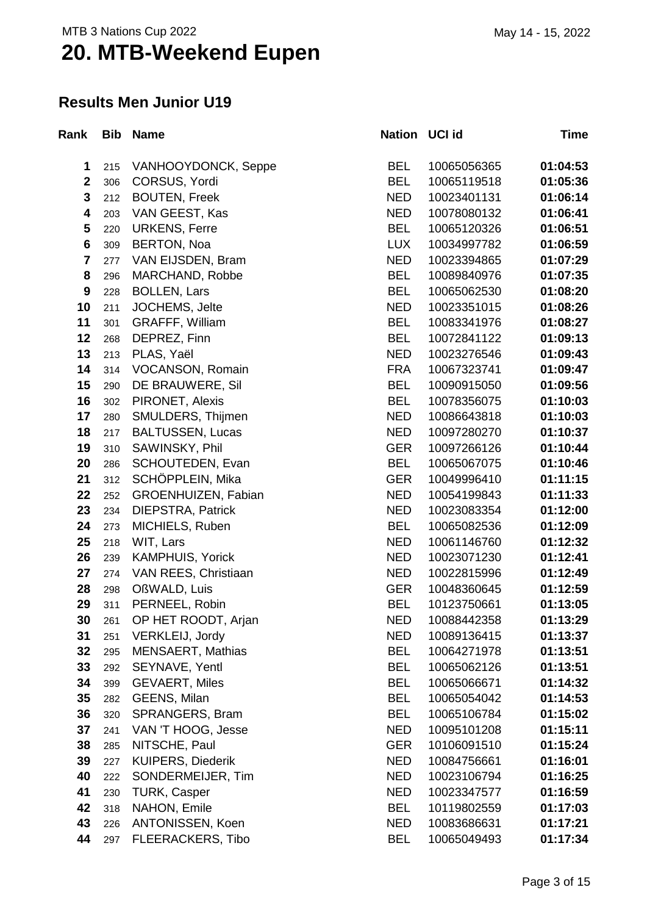#### **Results Men Junior U19**

| Rank                    | <b>Bib</b> | <b>Name</b>              | Nation UCI id |             | <b>Time</b> |
|-------------------------|------------|--------------------------|---------------|-------------|-------------|
| 1                       | 215        | VANHOOYDONCK, Seppe      | <b>BEL</b>    | 10065056365 | 01:04:53    |
| $\overline{\mathbf{2}}$ | 306        | CORSUS, Yordi            | <b>BEL</b>    | 10065119518 | 01:05:36    |
| $\mathbf{3}$            | 212        | <b>BOUTEN, Freek</b>     | <b>NED</b>    | 10023401131 | 01:06:14    |
| $\overline{\mathbf{4}}$ | 203        | VAN GEEST, Kas           | <b>NED</b>    | 10078080132 | 01:06:41    |
| 5                       | 220        | <b>URKENS, Ferre</b>     | <b>BEL</b>    | 10065120326 | 01:06:51    |
| $6\phantom{1}$          | 309        | <b>BERTON, Noa</b>       | <b>LUX</b>    | 10034997782 | 01:06:59    |
| $\overline{7}$          | 277        | VAN EIJSDEN, Bram        | <b>NED</b>    | 10023394865 | 01:07:29    |
| 8                       | 296        | MARCHAND, Robbe          | <b>BEL</b>    | 10089840976 | 01:07:35    |
| $\boldsymbol{9}$        | 228        | <b>BOLLEN, Lars</b>      | <b>BEL</b>    | 10065062530 | 01:08:20    |
| 10                      | 211        | JOCHEMS, Jelte           | <b>NED</b>    | 10023351015 | 01:08:26    |
| 11                      | 301        | <b>GRAFFF, William</b>   | <b>BEL</b>    | 10083341976 | 01:08:27    |
| 12                      | 268        | DEPREZ, Finn             | <b>BEL</b>    | 10072841122 | 01:09:13    |
| 13                      | 213        | PLAS, Yaël               | <b>NED</b>    | 10023276546 | 01:09:43    |
| 14                      | 314        | VOCANSON, Romain         | <b>FRA</b>    | 10067323741 | 01:09:47    |
| 15                      | 290        | DE BRAUWERE, Sil         | <b>BEL</b>    | 10090915050 | 01:09:56    |
| 16                      | 302        | PIRONET, Alexis          | <b>BEL</b>    | 10078356075 | 01:10:03    |
| 17                      | 280        | SMULDERS, Thijmen        | <b>NED</b>    | 10086643818 | 01:10:03    |
| 18                      | 217        | <b>BALTUSSEN, Lucas</b>  | <b>NED</b>    | 10097280270 | 01:10:37    |
| 19                      | 310        | SAWINSKY, Phil           | <b>GER</b>    | 10097266126 | 01:10:44    |
| 20                      | 286        | SCHOUTEDEN, Evan         | <b>BEL</b>    | 10065067075 | 01:10:46    |
| 21                      | 312        | SCHÖPPLEIN, Mika         | <b>GER</b>    | 10049996410 | 01:11:15    |
| 22                      | 252        | GROENHUIZEN, Fabian      | <b>NED</b>    | 10054199843 | 01:11:33    |
| 23                      | 234        | DIEPSTRA, Patrick        | <b>NED</b>    | 10023083354 | 01:12:00    |
| 24                      | 273        | MICHIELS, Ruben          | <b>BEL</b>    | 10065082536 | 01:12:09    |
| 25                      | 218        | WIT, Lars                | <b>NED</b>    | 10061146760 | 01:12:32    |
| 26                      | 239        | <b>KAMPHUIS, Yorick</b>  | <b>NED</b>    | 10023071230 | 01:12:41    |
| 27                      | 274        | VAN REES, Christiaan     | <b>NED</b>    | 10022815996 | 01:12:49    |
| 28                      | 298        | OßWALD, Luis             | <b>GER</b>    | 10048360645 | 01:12:59    |
| 29                      | 311        | PERNEEL, Robin           | <b>BEL</b>    | 10123750661 | 01:13:05    |
| 30                      | 261        | OP HET ROODT, Arjan      | <b>NED</b>    | 10088442358 | 01:13:29    |
| 31                      | 251        | VERKLEIJ, Jordy          | <b>NED</b>    | 10089136415 | 01:13:37    |
| 32                      | 295        | <b>MENSAERT, Mathias</b> | <b>BEL</b>    | 10064271978 | 01:13:51    |
| 33                      | 292        | SEYNAVE, Yentl           | <b>BEL</b>    | 10065062126 | 01:13:51    |
| 34                      | 399        | <b>GEVAERT, Miles</b>    | <b>BEL</b>    | 10065066671 | 01:14:32    |
| 35                      | 282        | GEENS, Milan             | <b>BEL</b>    | 10065054042 | 01:14:53    |
| 36                      | 320        | SPRANGERS, Bram          | <b>BEL</b>    | 10065106784 | 01:15:02    |
| 37                      | 241        | VAN 'T HOOG, Jesse       | <b>NED</b>    | 10095101208 | 01:15:11    |
| 38                      | 285        | NITSCHE, Paul            | <b>GER</b>    | 10106091510 | 01:15:24    |
| 39                      | 227        | <b>KUIPERS, Diederik</b> | <b>NED</b>    | 10084756661 | 01:16:01    |
| 40                      | 222        | SONDERMEIJER, Tim        | <b>NED</b>    | 10023106794 | 01:16:25    |
| 41                      | 230        | <b>TURK, Casper</b>      | <b>NED</b>    | 10023347577 | 01:16:59    |
| 42                      | 318        | NAHON, Emile             | <b>BEL</b>    | 10119802559 | 01:17:03    |
| 43                      | 226        | ANTONISSEN, Koen         | <b>NED</b>    | 10083686631 | 01:17:21    |
| 44                      | 297        | <b>FLEERACKERS, Tibo</b> | <b>BEL</b>    | 10065049493 | 01:17:34    |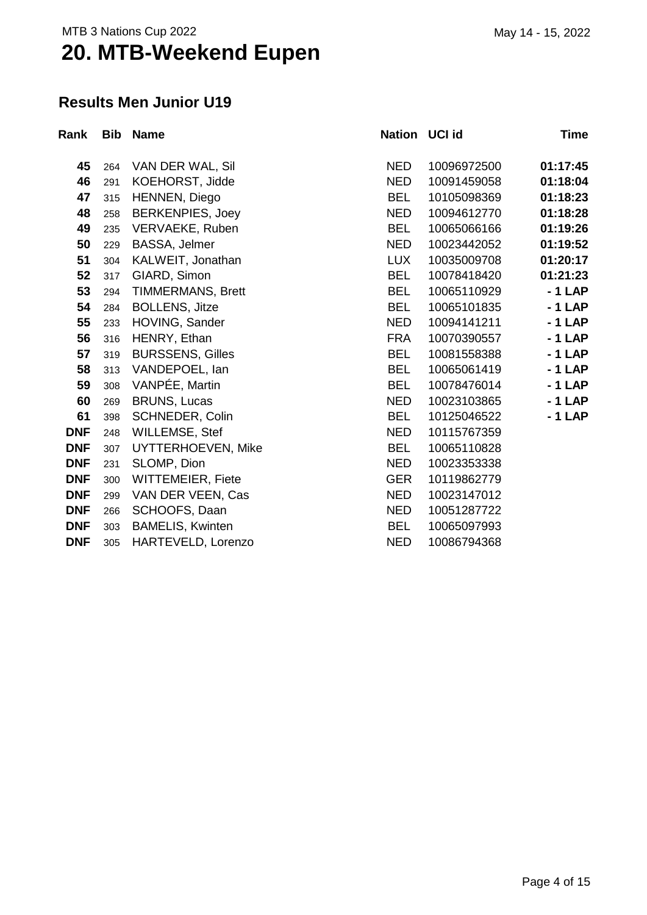#### **Results Men Junior U19**

| Rank       | <b>Bib</b> | <b>Name</b>              | Nation UCI id |             | Time     |
|------------|------------|--------------------------|---------------|-------------|----------|
| 45         | 264        | VAN DER WAL, Sil         | <b>NED</b>    | 10096972500 | 01:17:45 |
| 46         | 291        | KOEHORST, Jidde          | <b>NED</b>    | 10091459058 | 01:18:04 |
| 47         | 315        | HENNEN, Diego            | <b>BEL</b>    | 10105098369 | 01:18:23 |
| 48         | 258        | <b>BERKENPIES, Joey</b>  | <b>NED</b>    | 10094612770 | 01:18:28 |
| 49         | 235        | VERVAEKE, Ruben          | <b>BEL</b>    | 10065066166 | 01:19:26 |
| 50         | 229        | BASSA, Jelmer            | <b>NED</b>    | 10023442052 | 01:19:52 |
| 51         | 304        | KALWEIT, Jonathan        | <b>LUX</b>    | 10035009708 | 01:20:17 |
| 52         | 317        | GIARD, Simon             | <b>BEL</b>    | 10078418420 | 01:21:23 |
| 53         | 294        | <b>TIMMERMANS, Brett</b> | <b>BEL</b>    | 10065110929 | $-1$ LAP |
| 54         | 284        | <b>BOLLENS, Jitze</b>    | <b>BEL</b>    | 10065101835 | $-1$ LAP |
| 55         | 233        | HOVING, Sander           | <b>NED</b>    | 10094141211 | $-1$ LAP |
| 56         | 316        | HENRY, Ethan             | <b>FRA</b>    | 10070390557 | $-1$ LAP |
| 57         | 319        | <b>BURSSENS, Gilles</b>  | <b>BEL</b>    | 10081558388 | $-1$ LAP |
| 58         | 313        | VANDEPOEL, lan           | <b>BEL</b>    | 10065061419 | $-1$ LAP |
| 59         | 308        | VANPÉE, Martin           | <b>BEL</b>    | 10078476014 | $-1$ LAP |
| 60         | 269        | <b>BRUNS, Lucas</b>      | <b>NED</b>    | 10023103865 | $-1$ LAP |
| 61         | 398        | <b>SCHNEDER, Colin</b>   | <b>BEL</b>    | 10125046522 | $-1$ LAP |
| <b>DNF</b> | 248        | <b>WILLEMSE, Stef</b>    | <b>NED</b>    | 10115767359 |          |
| <b>DNF</b> | 307        | UYTTERHOEVEN, Mike       | <b>BEL</b>    | 10065110828 |          |
| <b>DNF</b> | 231        | SLOMP, Dion              | <b>NED</b>    | 10023353338 |          |
| <b>DNF</b> | 300        | WITTEMEIER, Fiete        | <b>GER</b>    | 10119862779 |          |
| <b>DNF</b> | 299        | VAN DER VEEN, Cas        | <b>NED</b>    | 10023147012 |          |
| <b>DNF</b> | 266        | SCHOOFS, Daan            | <b>NED</b>    | 10051287722 |          |
| <b>DNF</b> | 303        | <b>BAMELIS, Kwinten</b>  | <b>BEL</b>    | 10065097993 |          |
| <b>DNF</b> | 305        | HARTEVELD, Lorenzo       | <b>NED</b>    | 10086794368 |          |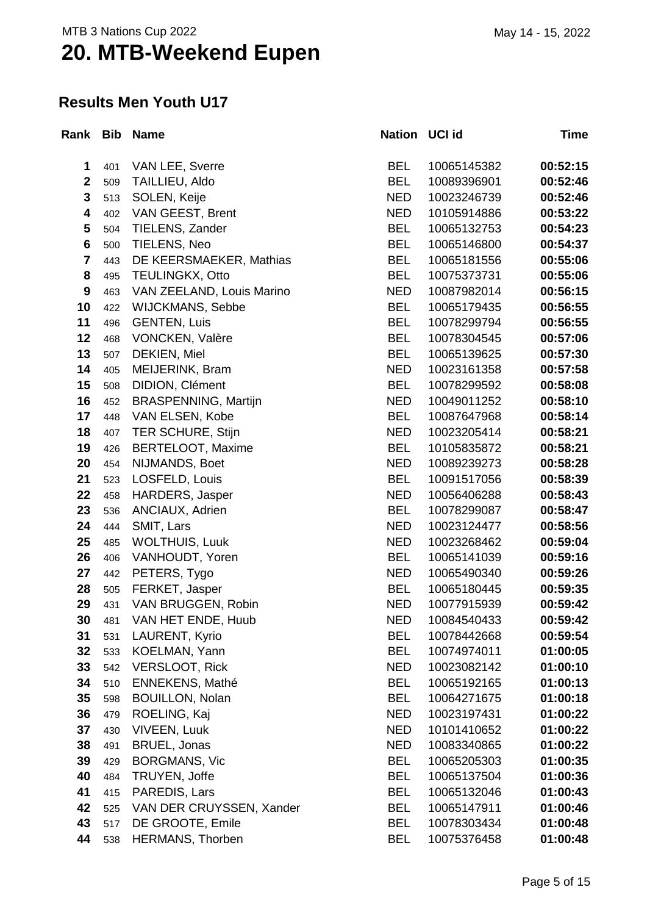#### **Results Men Youth U17**

| Rank Bib                |     | <b>Name</b>                 | Nation UCI id |             | Time     |
|-------------------------|-----|-----------------------------|---------------|-------------|----------|
| 1                       | 401 | VAN LEE, Sverre             | <b>BEL</b>    | 10065145382 | 00:52:15 |
| $\mathbf 2$             | 509 | TAILLIEU, Aldo              | <b>BEL</b>    | 10089396901 | 00:52:46 |
| 3                       | 513 | SOLEN, Keije                | <b>NED</b>    | 10023246739 | 00:52:46 |
| 4                       | 402 | VAN GEEST, Brent            | <b>NED</b>    | 10105914886 | 00:53:22 |
| 5                       | 504 | TIELENS, Zander             | <b>BEL</b>    | 10065132753 | 00:54:23 |
| $6\phantom{1}6$         | 500 | TIELENS, Neo                | <b>BEL</b>    | 10065146800 | 00:54:37 |
| $\overline{\mathbf{7}}$ | 443 | DE KEERSMAEKER, Mathias     | <b>BEL</b>    | 10065181556 | 00:55:06 |
| 8                       | 495 | <b>TEULINGKX, Otto</b>      | <b>BEL</b>    | 10075373731 | 00:55:06 |
| $\boldsymbol{9}$        | 463 | VAN ZEELAND, Louis Marino   | <b>NED</b>    | 10087982014 | 00:56:15 |
| 10                      | 422 | <b>WIJCKMANS, Sebbe</b>     | <b>BEL</b>    | 10065179435 | 00:56:55 |
| 11                      | 496 | <b>GENTEN, Luis</b>         | <b>BEL</b>    | 10078299794 | 00:56:55 |
| 12                      | 468 | VONCKEN, Valère             | <b>BEL</b>    | 10078304545 | 00:57:06 |
| 13                      | 507 | DEKIEN, Miel                | <b>BEL</b>    | 10065139625 | 00:57:30 |
| 14                      | 405 | MEIJERINK, Bram             | <b>NED</b>    | 10023161358 | 00:57:58 |
| 15                      | 508 | DIDION, Clément             | <b>BEL</b>    | 10078299592 | 00:58:08 |
| 16                      | 452 | <b>BRASPENNING, Martijn</b> | <b>NED</b>    | 10049011252 | 00:58:10 |
| 17                      | 448 | VAN ELSEN, Kobe             | <b>BEL</b>    | 10087647968 | 00:58:14 |
| 18                      | 407 | <b>TER SCHURE, Stijn</b>    | <b>NED</b>    | 10023205414 | 00:58:21 |
| 19                      | 426 | <b>BERTELOOT, Maxime</b>    | <b>BEL</b>    | 10105835872 | 00:58:21 |
| 20                      | 454 | NIJMANDS, Boet              | <b>NED</b>    | 10089239273 | 00:58:28 |
| 21                      | 523 | LOSFELD, Louis              | <b>BEL</b>    | 10091517056 | 00:58:39 |
| 22                      | 458 | HARDERS, Jasper             | <b>NED</b>    | 10056406288 | 00:58:43 |
| 23                      | 536 | ANCIAUX, Adrien             | <b>BEL</b>    | 10078299087 | 00:58:47 |
| 24                      | 444 | SMIT, Lars                  | <b>NED</b>    | 10023124477 | 00:58:56 |
| 25                      | 485 | <b>WOLTHUIS, Luuk</b>       | <b>NED</b>    | 10023268462 | 00:59:04 |
| 26                      | 406 | VANHOUDT, Yoren             | <b>BEL</b>    | 10065141039 | 00:59:16 |
| 27                      | 442 | PETERS, Tygo                | <b>NED</b>    | 10065490340 | 00:59:26 |
| 28                      | 505 | FERKET, Jasper              | <b>BEL</b>    | 10065180445 | 00:59:35 |
| 29                      | 431 | VAN BRUGGEN, Robin          | <b>NED</b>    | 10077915939 | 00:59:42 |
| 30                      | 481 | VAN HET ENDE, Huub          | <b>NED</b>    | 10084540433 | 00:59:42 |
| 31                      | 531 | LAURENT, Kyrio              | <b>BEL</b>    | 10078442668 | 00:59:54 |
| 32                      | 533 | KOELMAN, Yann               | <b>BEL</b>    | 10074974011 | 01:00:05 |
| 33                      | 542 | <b>VERSLOOT, Rick</b>       | <b>NED</b>    | 10023082142 | 01:00:10 |
| 34                      | 510 | <b>ENNEKENS, Mathé</b>      | <b>BEL</b>    | 10065192165 | 01:00:13 |
| 35                      | 598 | <b>BOUILLON, Nolan</b>      | <b>BEL</b>    | 10064271675 | 01:00:18 |
| 36                      | 479 | ROELING, Kaj                | <b>NED</b>    | 10023197431 | 01:00:22 |
| 37                      | 430 | <b>VIVEEN, Luuk</b>         | <b>NED</b>    | 10101410652 | 01:00:22 |
| 38                      | 491 | BRUEL, Jonas                | <b>NED</b>    | 10083340865 | 01:00:22 |
| 39                      | 429 | <b>BORGMANS, Vic</b>        | <b>BEL</b>    | 10065205303 | 01:00:35 |
| 40                      | 484 | TRUYEN, Joffe               | <b>BEL</b>    | 10065137504 | 01:00:36 |
| 41                      | 415 | PAREDIS, Lars               | <b>BEL</b>    | 10065132046 | 01:00:43 |
| 42                      | 525 | VAN DER CRUYSSEN, Xander    | <b>BEL</b>    | 10065147911 | 01:00:46 |
| 43                      | 517 | DE GROOTE, Emile            | <b>BEL</b>    | 10078303434 | 01:00:48 |
| 44                      | 538 | <b>HERMANS, Thorben</b>     | <b>BEL</b>    | 10075376458 | 01:00:48 |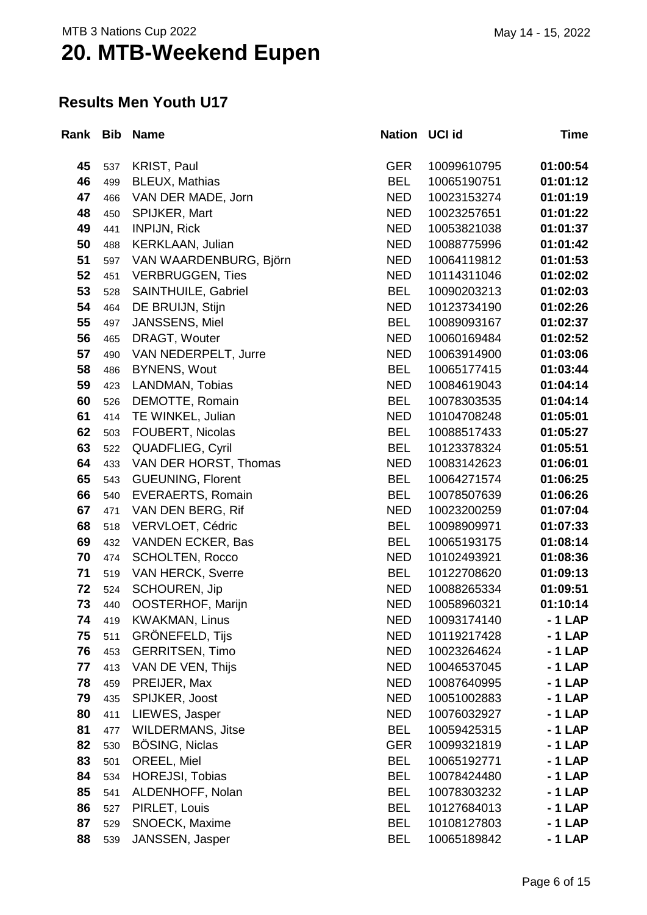#### **Results Men Youth U17**

|    |     | Rank Bib Name               | Nation UCI id |             | Time     |
|----|-----|-----------------------------|---------------|-------------|----------|
| 45 | 537 | KRIST, Paul                 | <b>GER</b>    | 10099610795 | 01:00:54 |
| 46 | 499 | <b>BLEUX, Mathias</b>       | <b>BEL</b>    | 10065190751 | 01:01:12 |
| 47 | 466 | VAN DER MADE, Jorn          | <b>NED</b>    | 10023153274 | 01:01:19 |
| 48 | 450 | SPIJKER, Mart               | <b>NED</b>    | 10023257651 | 01:01:22 |
| 49 | 441 | <b>INPIJN, Rick</b>         | <b>NED</b>    | 10053821038 | 01:01:37 |
| 50 | 488 | <b>KERKLAAN, Julian</b>     | <b>NED</b>    | 10088775996 | 01:01:42 |
| 51 | 597 | VAN WAARDENBURG, Björn      | <b>NED</b>    | 10064119812 | 01:01:53 |
| 52 | 451 | <b>VERBRUGGEN, Ties</b>     | <b>NED</b>    | 10114311046 | 01:02:02 |
| 53 | 528 | SAINTHUILE, Gabriel         | <b>BEL</b>    | 10090203213 | 01:02:03 |
| 54 | 464 | DE BRUIJN, Stijn            | <b>NED</b>    | 10123734190 | 01:02:26 |
| 55 | 497 | JANSSENS, Miel              | <b>BEL</b>    | 10089093167 | 01:02:37 |
| 56 | 465 | DRAGT, Wouter               | <b>NED</b>    | 10060169484 | 01:02:52 |
| 57 | 490 | <b>VAN NEDERPELT, Jurre</b> | <b>NED</b>    | 10063914900 | 01:03:06 |
| 58 | 486 | <b>BYNENS, Wout</b>         | <b>BEL</b>    | 10065177415 | 01:03:44 |
| 59 | 423 | LANDMAN, Tobias             | <b>NED</b>    | 10084619043 | 01:04:14 |
| 60 | 526 | DEMOTTE, Romain             | <b>BEL</b>    | 10078303535 | 01:04:14 |
| 61 | 414 | TE WINKEL, Julian           | <b>NED</b>    | 10104708248 | 01:05:01 |
| 62 | 503 | FOUBERT, Nicolas            | <b>BEL</b>    | 10088517433 | 01:05:27 |
| 63 | 522 | QUADFLIEG, Cyril            | <b>BEL</b>    | 10123378324 | 01:05:51 |
| 64 | 433 | VAN DER HORST, Thomas       | <b>NED</b>    | 10083142623 | 01:06:01 |
| 65 | 543 | <b>GUEUNING, Florent</b>    | <b>BEL</b>    | 10064271574 | 01:06:25 |
| 66 | 540 | <b>EVERAERTS, Romain</b>    | <b>BEL</b>    | 10078507639 | 01:06:26 |
| 67 | 471 | VAN DEN BERG, Rif           | <b>NED</b>    | 10023200259 | 01:07:04 |
| 68 | 518 | VERVLOET, Cédric            | <b>BEL</b>    | 10098909971 | 01:07:33 |
| 69 | 432 | VANDEN ECKER, Bas           | <b>BEL</b>    | 10065193175 | 01:08:14 |
| 70 | 474 | <b>SCHOLTEN, Rocco</b>      | <b>NED</b>    | 10102493921 | 01:08:36 |
| 71 | 519 | <b>VAN HERCK, Sverre</b>    | <b>BEL</b>    | 10122708620 | 01:09:13 |
| 72 | 524 | <b>SCHOUREN, Jip</b>        | <b>NED</b>    | 10088265334 | 01:09:51 |
| 73 | 440 | OOSTERHOF, Marijn           | <b>NED</b>    | 10058960321 | 01:10:14 |
| 74 | 419 | <b>KWAKMAN, Linus</b>       | <b>NED</b>    | 10093174140 | $-1$ LAP |
| 75 | 511 | <b>GRÖNEFELD, Tijs</b>      | <b>NED</b>    | 10119217428 | $-1$ LAP |
| 76 | 453 | <b>GERRITSEN, Timo</b>      | <b>NED</b>    | 10023264624 | - 1 LAP  |
| 77 | 413 | VAN DE VEN, Thijs           | <b>NED</b>    | 10046537045 | $-1$ LAP |
| 78 | 459 | PREIJER, Max                | <b>NED</b>    | 10087640995 | $-1$ LAP |
| 79 | 435 | SPIJKER, Joost              | <b>NED</b>    | 10051002883 | - 1 LAP  |
| 80 | 411 | LIEWES, Jasper              | <b>NED</b>    | 10076032927 | $-1$ LAP |
| 81 | 477 | <b>WILDERMANS, Jitse</b>    | <b>BEL</b>    | 10059425315 | $-1$ LAP |
| 82 | 530 | <b>BÖSING, Niclas</b>       | <b>GER</b>    | 10099321819 | $-1$ LAP |
| 83 | 501 | OREEL, Miel                 | <b>BEL</b>    | 10065192771 | $-1$ LAP |
| 84 | 534 | HOREJSI, Tobias             | <b>BEL</b>    | 10078424480 | - 1 LAP  |
| 85 | 541 | ALDENHOFF, Nolan            | <b>BEL</b>    | 10078303232 | - 1 LAP  |
| 86 | 527 | PIRLET, Louis               | <b>BEL</b>    | 10127684013 | - 1 LAP  |
| 87 | 529 | SNOECK, Maxime              | <b>BEL</b>    | 10108127803 | $-1$ LAP |
| 88 | 539 | JANSSEN, Jasper             | <b>BEL</b>    | 10065189842 | $-1$ LAP |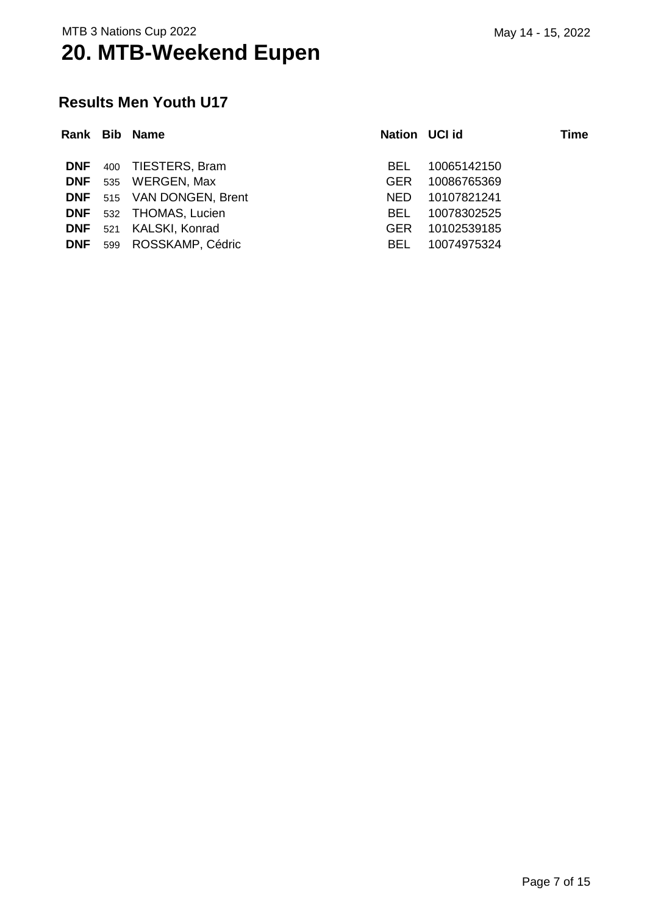#### **Results Men Youth U17**

|            | Rank Bib Name                    | Nation UCI id |             | <b>Time</b> |
|------------|----------------------------------|---------------|-------------|-------------|
|            | <b>DNF</b> 400 TIESTERS, Bram    | BEL.          | 10065142150 |             |
|            | DNF 535 WERGEN, Max              | <b>GER</b>    | 10086765369 |             |
|            | <b>DNF</b> 515 VAN DONGEN, Brent | NED.          | 10107821241 |             |
|            | <b>DNF</b> 532 THOMAS, Lucien    | BEL.          | 10078302525 |             |
|            | DNF 521 KALSKI, Konrad           | GER.          | 10102539185 |             |
| <b>DNF</b> | 599 ROSSKAMP, Cédric             | BEL.          | 10074975324 |             |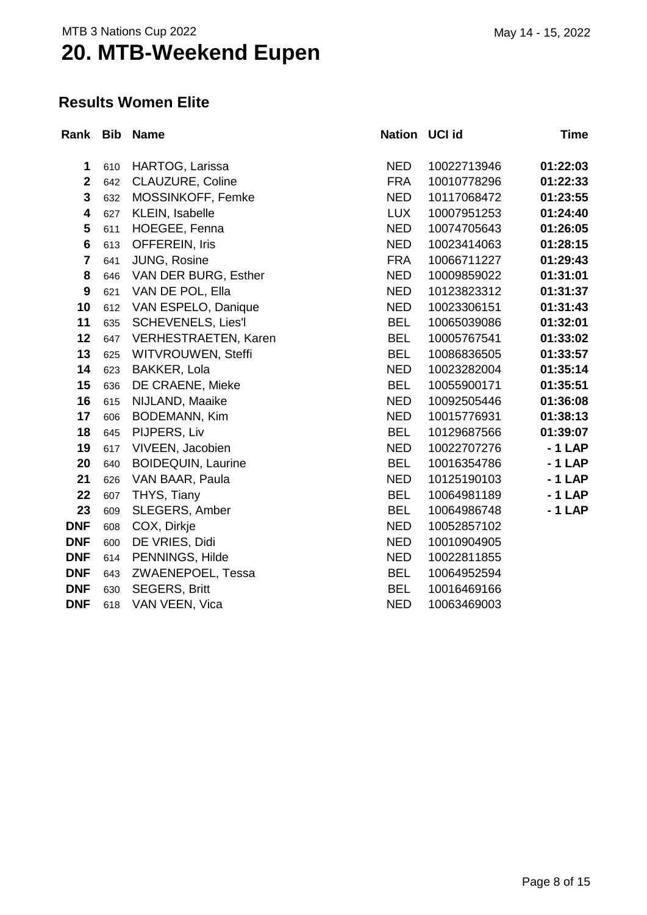#### **Results Women Elite**

| Rank Bib       |     | Name                        | Nation UCI id |             | Time     |
|----------------|-----|-----------------------------|---------------|-------------|----------|
| 1              | 610 | HARTOG, Larissa             | <b>NED</b>    | 10022713946 | 01:22:03 |
| $\mathbf{2}$   | 642 | CLAUZURE, Coline            | <b>FRA</b>    | 10010778296 | 01:22:33 |
| 3              | 632 | MOSSINKOFF, Femke           | <b>NED</b>    | 10117068472 | 01:23:55 |
| 4              | 627 | KLEIN, Isabelle             | <b>LUX</b>    | 10007951253 | 01:24:40 |
| 5              | 611 | HOEGEE, Fenna               | <b>NED</b>    | 10074705643 | 01:26:05 |
| $6\phantom{a}$ | 613 | OFFEREIN, Iris              | <b>NED</b>    | 10023414063 | 01:28:15 |
| $\overline{7}$ | 641 | JUNG, Rosine                | <b>FRA</b>    | 10066711227 | 01:29:43 |
| 8              | 646 | VAN DER BURG, Esther        | <b>NED</b>    | 10009859022 | 01:31:01 |
| 9              | 621 | VAN DE POL, Ella            | <b>NED</b>    | 10123823312 | 01:31:37 |
| 10             | 612 | VAN ESPELO, Danique         | <b>NED</b>    | 10023306151 | 01:31:43 |
| 11             | 635 | <b>SCHEVENELS, Lies'l</b>   | <b>BEL</b>    | 10065039086 | 01:32:01 |
| 12             | 647 | <b>VERHESTRAETEN, Karen</b> | <b>BEL</b>    | 10005767541 | 01:33:02 |
| 13             | 625 | WITVROUWEN, Steffi          | <b>BEL</b>    | 10086836505 | 01:33:57 |
| 14             | 623 | <b>BAKKER, Lola</b>         | <b>NED</b>    | 10023282004 | 01:35:14 |
| 15             | 636 | DE CRAENE, Mieke            | <b>BEL</b>    | 10055900171 | 01:35:51 |
| 16             | 615 | NIJLAND, Maaike             | <b>NED</b>    | 10092505446 | 01:36:08 |
| 17             | 606 | <b>BODEMANN, Kim</b>        | <b>NED</b>    | 10015776931 | 01:38:13 |
| 18             | 645 | PIJPERS, Liv                | <b>BEL</b>    | 10129687566 | 01:39:07 |
| 19             | 617 | VIVEEN, Jacobien            | <b>NED</b>    | 10022707276 | $-1$ LAP |
| 20             | 640 | <b>BOIDEQUIN, Laurine</b>   | <b>BEL</b>    | 10016354786 | $-1$ LAP |
| 21             | 626 | VAN BAAR, Paula             | <b>NED</b>    | 10125190103 | $-1$ LAP |
| 22             | 607 | THYS, Tiany                 | <b>BEL</b>    | 10064981189 | $-1$ LAP |
| 23             | 609 | SLEGERS, Amber              | <b>BEL</b>    | 10064986748 | $-1$ LAP |
| <b>DNF</b>     | 608 | COX, Dirkje                 | <b>NED</b>    | 10052857102 |          |
| <b>DNF</b>     | 600 | DE VRIES, Didi              | <b>NED</b>    | 10010904905 |          |
| <b>DNF</b>     | 614 | PENNINGS, Hilde             | <b>NED</b>    | 10022811855 |          |
| <b>DNF</b>     | 643 | ZWAENEPOEL, Tessa           | <b>BEL</b>    | 10064952594 |          |
| <b>DNF</b>     | 630 | <b>SEGERS, Britt</b>        | <b>BEL</b>    | 10016469166 |          |
| <b>DNF</b>     | 618 | VAN VEEN, Vica              | <b>NED</b>    | 10063469003 |          |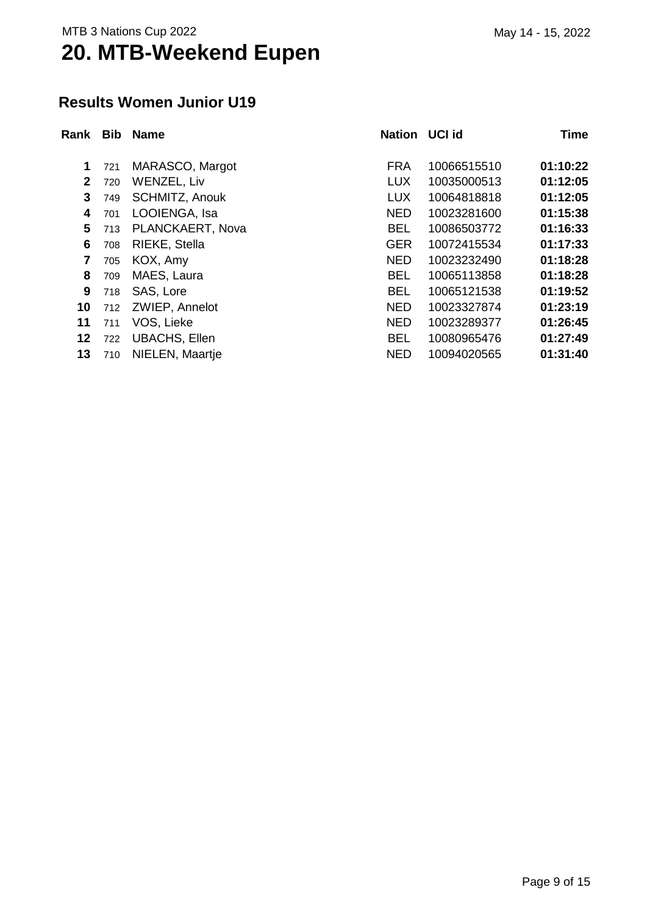#### **Results Women Junior U19**

| Rank         |     | <b>Bib Name</b>      | <b>Nation</b> | <b>UCI id</b> | <b>Time</b> |
|--------------|-----|----------------------|---------------|---------------|-------------|
| 1            |     | MARASCO, Margot      | <b>FRA</b>    | 10066515510   | 01:10:22    |
|              | 721 |                      |               |               |             |
| $\mathbf{2}$ | 720 | <b>WENZEL, Liv</b>   | <b>LUX</b>    | 10035000513   | 01:12:05    |
| 3            | 749 | SCHMITZ, Anouk       | <b>LUX</b>    | 10064818818   | 01:12:05    |
| 4            | 701 | LOOIENGA, Isa        | <b>NED</b>    | 10023281600   | 01:15:38    |
| 5            | 713 | PLANCKAERT, Nova     | <b>BEL</b>    | 10086503772   | 01:16:33    |
| 6            | 708 | RIEKE, Stella        | <b>GER</b>    | 10072415534   | 01:17:33    |
| 7            | 705 | KOX, Amy             | <b>NED</b>    | 10023232490   | 01:18:28    |
| 8            | 709 | MAES, Laura          | <b>BEL</b>    | 10065113858   | 01:18:28    |
| 9            | 718 | SAS, Lore            | <b>BEL</b>    | 10065121538   | 01:19:52    |
| 10           | 712 | ZWIEP, Annelot       | <b>NED</b>    | 10023327874   | 01:23:19    |
| 11           | 711 | VOS, Lieke           | <b>NED</b>    | 10023289377   | 01:26:45    |
| 12           | 722 | <b>UBACHS, Ellen</b> | <b>BEL</b>    | 10080965476   | 01:27:49    |
| 13           | 710 | NIELEN, Maartje      | <b>NED</b>    | 10094020565   | 01:31:40    |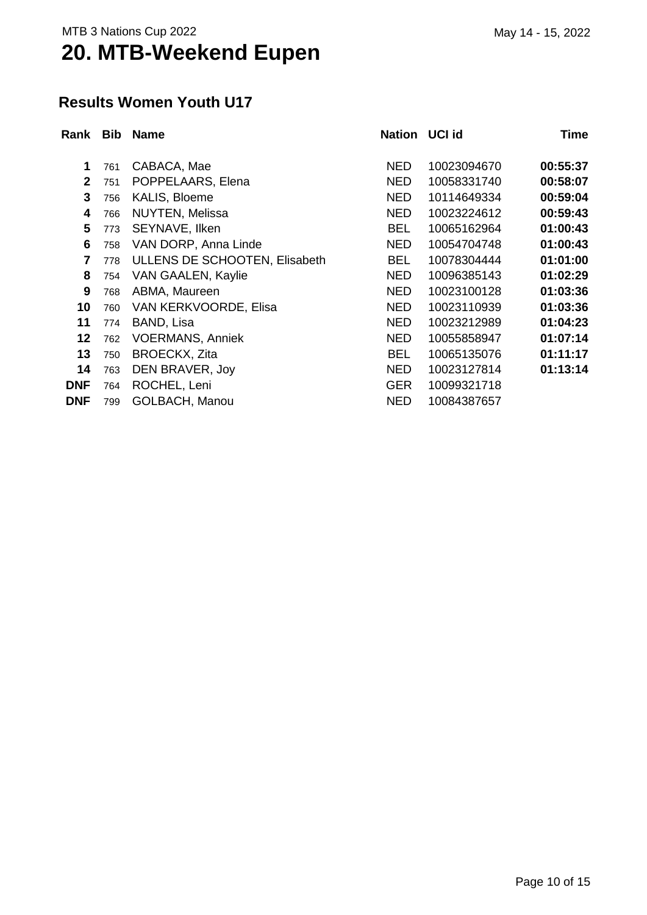#### **Results Women Youth U17**

| Rank           | <b>Bib</b> | <b>Name</b>                   | Nation UCI id |             | Time     |
|----------------|------------|-------------------------------|---------------|-------------|----------|
|                |            |                               |               |             |          |
| 1              | 761        | CABACA, Mae                   | <b>NED</b>    | 10023094670 | 00:55:37 |
| $\overline{2}$ | 751        | POPPELAARS, Elena             | <b>NED</b>    | 10058331740 | 00:58:07 |
| 3              | 756        | KALIS, Bloeme                 | <b>NED</b>    | 10114649334 | 00:59:04 |
| 4              | 766        | <b>NUYTEN, Melissa</b>        | <b>NED</b>    | 10023224612 | 00:59:43 |
| 5              | 773        | SEYNAVE, Ilken                | <b>BEL</b>    | 10065162964 | 01:00:43 |
| 6              | 758        | VAN DORP, Anna Linde          | <b>NED</b>    | 10054704748 | 01:00:43 |
| 7              | 778        | ULLENS DE SCHOOTEN, Elisabeth | <b>BEL</b>    | 10078304444 | 01:01:00 |
| 8              | 754        | VAN GAALEN, Kaylie            | <b>NED</b>    | 10096385143 | 01:02:29 |
| 9              | 768        | ABMA, Maureen                 | <b>NED</b>    | 10023100128 | 01:03:36 |
| 10             | 760        | VAN KERKVOORDE, Elisa         | <b>NED</b>    | 10023110939 | 01:03:36 |
| 11             | 774        | BAND, Lisa                    | <b>NED</b>    | 10023212989 | 01:04:23 |
| 12             | 762        | <b>VOERMANS, Anniek</b>       | <b>NED</b>    | 10055858947 | 01:07:14 |
| 13             | 750        | <b>BROECKX, Zita</b>          | <b>BEL</b>    | 10065135076 | 01:11:17 |
| 14             | 763        | DEN BRAVER, Joy               | <b>NED</b>    | 10023127814 | 01:13:14 |
| <b>DNF</b>     | 764        | ROCHEL, Leni                  | <b>GER</b>    | 10099321718 |          |
| <b>DNF</b>     | 799        | <b>GOLBACH, Manou</b>         | <b>NED</b>    | 10084387657 |          |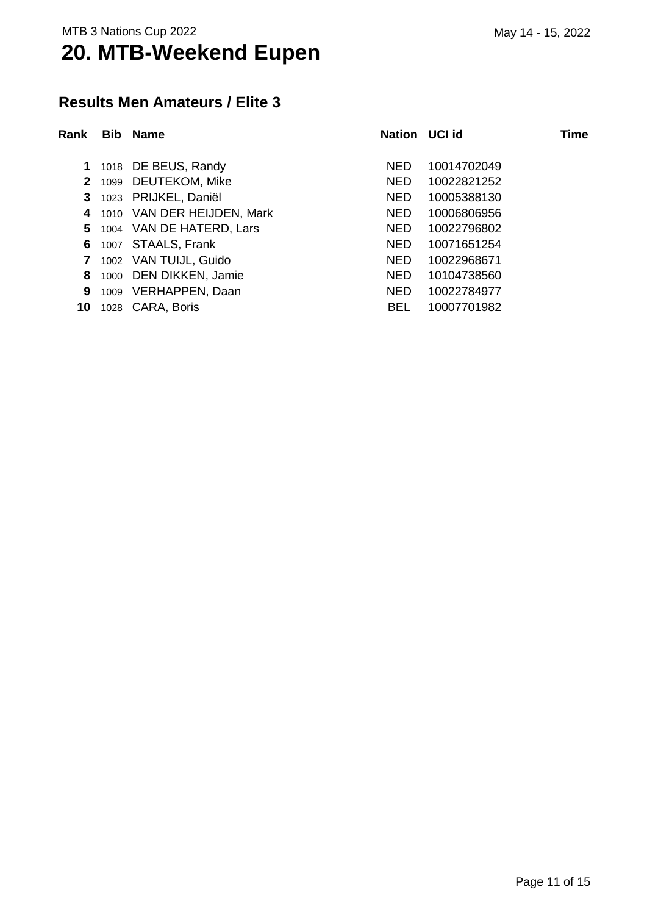#### **Results Men Amateurs / Elite 3**

| Rank         | Bib. | <b>Name</b>                | Nation UCI id |             | Time |
|--------------|------|----------------------------|---------------|-------------|------|
| 1.           |      | 1018 DE BEUS, Randy        | <b>NED</b>    | 10014702049 |      |
| $\mathbf{2}$ |      | 1099 DEUTEKOM, Mike        | <b>NED</b>    | 10022821252 |      |
| 3            |      | 1023 PRIJKEL, Daniël       | NED.          | 10005388130 |      |
| 4            |      | 1010 VAN DER HEIJDEN, Mark | NED.          | 10006806956 |      |
| 5.           |      | 1004 VAN DE HATERD, Lars   | NED.          | 10022796802 |      |
| 6            |      | 1007 STAALS, Frank         | NED.          | 10071651254 |      |
| 7            |      | 1002 VAN TUIJL, Guido      | <b>NED</b>    | 10022968671 |      |
| 8            |      | 1000 DEN DIKKEN, Jamie     | <b>NED</b>    | 10104738560 |      |
| 9            |      | 1009 VERHAPPEN, Daan       | <b>NED</b>    | 10022784977 |      |
| 10           |      | 1028 CARA, Boris           | <b>BEL</b>    | 10007701982 |      |
|              |      |                            |               |             |      |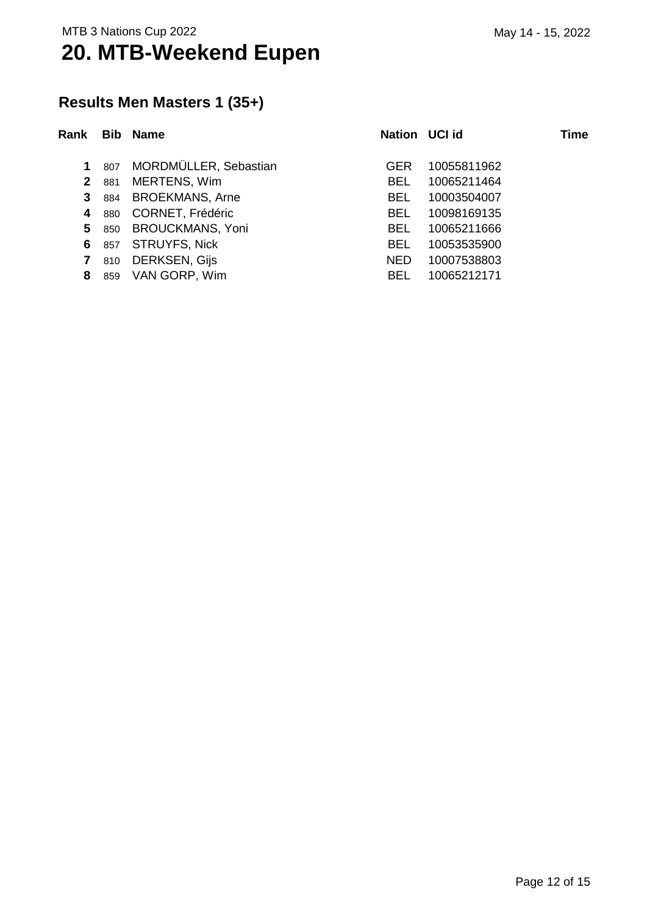### **Results Men Masters 1 (35+)**

| Rank         |     | <b>Bib Name</b>         | Nation UCI id |             | Time |
|--------------|-----|-------------------------|---------------|-------------|------|
| $\mathbf 1$  | 807 | MORDMÜLLER, Sebastian   | <b>GER</b>    | 10055811962 |      |
| $\mathbf{2}$ | 881 | MERTENS, Wim            | BEL.          | 10065211464 |      |
| 3            | 884 | <b>BROEKMANS, Arne</b>  | BEL.          | 10003504007 |      |
| 4            | 880 | <b>CORNET, Frédéric</b> | BEL.          | 10098169135 |      |
| 5.           | 850 | <b>BROUCKMANS, Yoni</b> | BEL.          | 10065211666 |      |
| 6            | 857 | <b>STRUYFS, Nick</b>    | BEL.          | 10053535900 |      |
| 7            | 810 | <b>DERKSEN, Gijs</b>    | <b>NED</b>    | 10007538803 |      |
| 8            | 859 | VAN GORP, Wim           | <b>BEL</b>    | 10065212171 |      |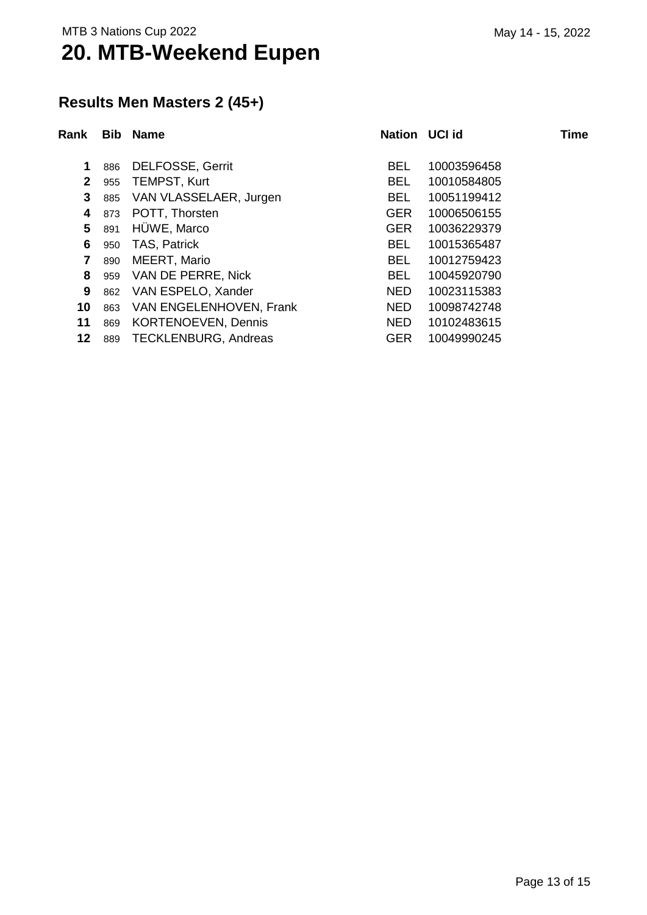### **Results Men Masters 2 (45+)**

| Rank                    | <b>Bib</b> | <b>Name</b>                 | Nation UCI id |             | <b>Time</b> |
|-------------------------|------------|-----------------------------|---------------|-------------|-------------|
| 1                       | 886        | <b>DELFOSSE, Gerrit</b>     | BEL.          | 10003596458 |             |
| $\mathbf{2}$            | 955        | <b>TEMPST, Kurt</b>         | BEL           | 10010584805 |             |
| 3                       | 885        | VAN VLASSELAER, Jurgen      | BEL           | 10051199412 |             |
| 4                       | 873        | POTT, Thorsten              | <b>GER</b>    | 10006506155 |             |
| 5                       | 891        | HÜWE, Marco                 | <b>GER</b>    | 10036229379 |             |
| 6                       | 950        | <b>TAS, Patrick</b>         | BEL.          | 10015365487 |             |
| $\overline{\mathbf{r}}$ | 890        | MEERT, Mario                | <b>BEL</b>    | 10012759423 |             |
| 8                       | 959        | VAN DE PERRE, Nick          | <b>BEL</b>    | 10045920790 |             |
| 9                       | 862        | VAN ESPELO, Xander          | <b>NED</b>    | 10023115383 |             |
| 10                      | 863        | VAN ENGELENHOVEN, Frank     | <b>NED</b>    | 10098742748 |             |
| 11                      | 869        | <b>KORTENOEVEN, Dennis</b>  | <b>NED</b>    | 10102483615 |             |
| 12                      | 889        | <b>TECKLENBURG, Andreas</b> | <b>GER</b>    | 10049990245 |             |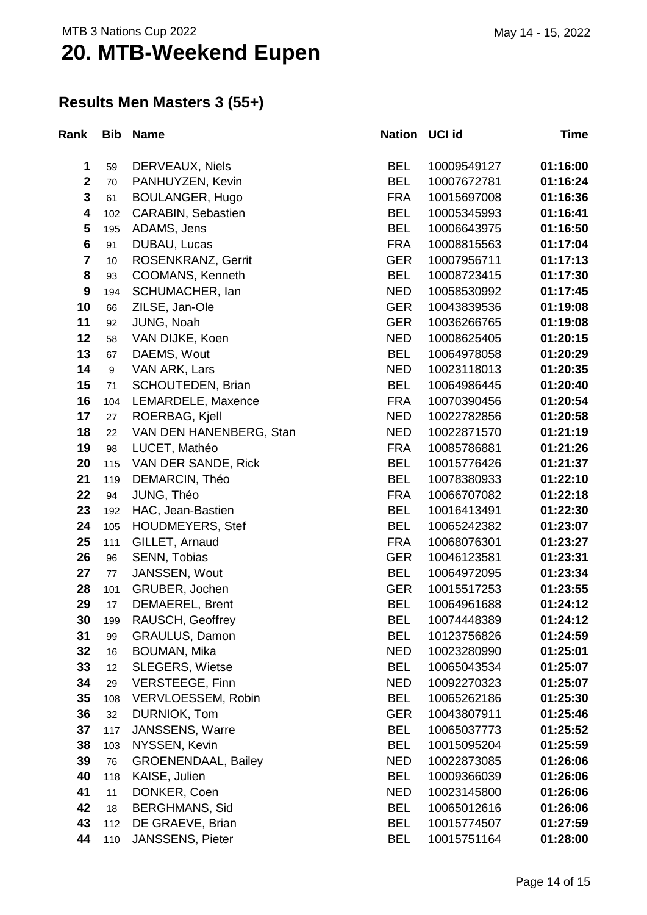### **Results Men Masters 3 (55+)**

| Rank                    | <b>Bib</b> | <b>Name</b>                | Nation UCI id |             | Time     |
|-------------------------|------------|----------------------------|---------------|-------------|----------|
| 1                       | 59         | DERVEAUX, Niels            | <b>BEL</b>    | 10009549127 | 01:16:00 |
| $\mathbf 2$             | 70         | PANHUYZEN, Kevin           | <b>BEL</b>    | 10007672781 | 01:16:24 |
| $\mathbf{3}$            | 61         | <b>BOULANGER, Hugo</b>     | <b>FRA</b>    | 10015697008 | 01:16:36 |
| $\overline{\mathbf{4}}$ | 102        | CARABIN, Sebastien         | <b>BEL</b>    | 10005345993 | 01:16:41 |
| 5                       | 195        | ADAMS, Jens                | <b>BEL</b>    | 10006643975 | 01:16:50 |
| $6\phantom{1}$          | 91         | DUBAU, Lucas               | <b>FRA</b>    | 10008815563 | 01:17:04 |
| $\overline{\mathbf{7}}$ | $10$       | ROSENKRANZ, Gerrit         | <b>GER</b>    | 10007956711 | 01:17:13 |
| 8                       | 93         | COOMANS, Kenneth           | <b>BEL</b>    | 10008723415 | 01:17:30 |
| $\boldsymbol{9}$        | 194        | SCHUMACHER, Ian            | <b>NED</b>    | 10058530992 | 01:17:45 |
| 10                      | 66         | ZILSE, Jan-Ole             | <b>GER</b>    | 10043839536 | 01:19:08 |
| 11                      | 92         | JUNG, Noah                 | <b>GER</b>    | 10036266765 | 01:19:08 |
| 12                      | 58         | VAN DIJKE, Koen            | <b>NED</b>    | 10008625405 | 01:20:15 |
| 13                      | 67         | DAEMS, Wout                | <b>BEL</b>    | 10064978058 | 01:20:29 |
| 14                      | 9          | VAN ARK, Lars              | <b>NED</b>    | 10023118013 | 01:20:35 |
| 15                      | 71         | SCHOUTEDEN, Brian          | <b>BEL</b>    | 10064986445 | 01:20:40 |
| 16                      | 104        | LEMARDELE, Maxence         | <b>FRA</b>    | 10070390456 | 01:20:54 |
| 17                      | 27         | ROERBAG, Kjell             | <b>NED</b>    | 10022782856 | 01:20:58 |
| 18                      | 22         | VAN DEN HANENBERG, Stan    | <b>NED</b>    | 10022871570 | 01:21:19 |
| 19                      | 98         | LUCET, Mathéo              | <b>FRA</b>    | 10085786881 | 01:21:26 |
| 20                      | 115        | VAN DER SANDE, Rick        | <b>BEL</b>    | 10015776426 | 01:21:37 |
| 21                      | 119        | DEMARCIN, Théo             | <b>BEL</b>    | 10078380933 | 01:22:10 |
| 22                      | 94         | JUNG, Théo                 | <b>FRA</b>    | 10066707082 | 01:22:18 |
| 23                      | 192        | HAC, Jean-Bastien          | <b>BEL</b>    | 10016413491 | 01:22:30 |
| 24                      | 105        | <b>HOUDMEYERS, Stef</b>    | <b>BEL</b>    | 10065242382 | 01:23:07 |
| 25                      | 111        | GILLET, Arnaud             | <b>FRA</b>    | 10068076301 | 01:23:27 |
| 26                      | 96         | SENN, Tobias               | <b>GER</b>    | 10046123581 | 01:23:31 |
| 27                      | 77         | JANSSEN, Wout              | <b>BEL</b>    | 10064972095 | 01:23:34 |
| 28                      | 101        | GRUBER, Jochen             | <b>GER</b>    | 10015517253 | 01:23:55 |
| 29                      | 17         | <b>DEMAEREL, Brent</b>     | <b>BEL</b>    | 10064961688 | 01:24:12 |
| 30                      | 199        | RAUSCH, Geoffrey           | <b>BEL</b>    | 10074448389 | 01:24:12 |
| 31                      | 99         | <b>GRAULUS, Damon</b>      | <b>BEL</b>    | 10123756826 | 01:24:59 |
| 32                      | 16         | <b>BOUMAN, Mika</b>        | <b>NED</b>    | 10023280990 | 01:25:01 |
| 33                      | 12         | <b>SLEGERS, Wietse</b>     | <b>BEL</b>    | 10065043534 | 01:25:07 |
| 34                      | 29         | <b>VERSTEEGE, Finn</b>     | <b>NED</b>    | 10092270323 | 01:25:07 |
| 35                      | 108        | VERVLOESSEM, Robin         | <b>BEL</b>    | 10065262186 | 01:25:30 |
| 36                      | 32         | DURNIOK, Tom               | <b>GER</b>    | 10043807911 | 01:25:46 |
| 37                      | 117        | <b>JANSSENS, Warre</b>     | <b>BEL</b>    | 10065037773 | 01:25:52 |
| 38                      | 103        | NYSSEN, Kevin              | <b>BEL</b>    | 10015095204 | 01:25:59 |
| 39                      | 76         | <b>GROENENDAAL, Bailey</b> | <b>NED</b>    | 10022873085 | 01:26:06 |
| 40                      | 118        | KAISE, Julien              | <b>BEL</b>    | 10009366039 | 01:26:06 |
| 41                      | 11         | DONKER, Coen               | <b>NED</b>    | 10023145800 | 01:26:06 |
| 42                      | 18         | <b>BERGHMANS, Sid</b>      | <b>BEL</b>    | 10065012616 | 01:26:06 |
| 43                      | 112        | DE GRAEVE, Brian           | <b>BEL</b>    | 10015774507 | 01:27:59 |
| 44                      | 110        | <b>JANSSENS, Pieter</b>    | <b>BEL</b>    | 10015751164 | 01:28:00 |